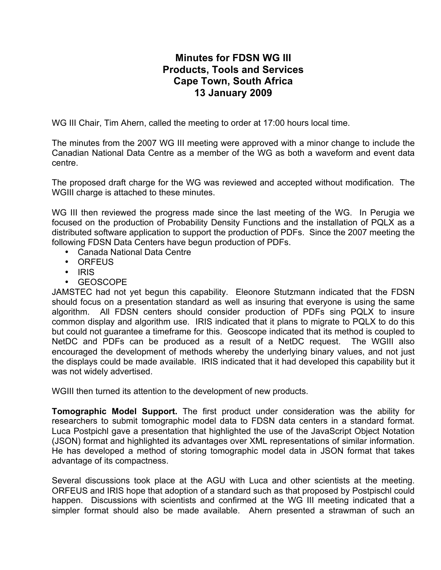## **Minutes for FDSN WG III Products, Tools and Services Cape Town, South Africa 13 January 2009**

WG III Chair, Tim Ahern, called the meeting to order at 17:00 hours local time.

The minutes from the 2007 WG III meeting were approved with a minor change to include the Canadian National Data Centre as a member of the WG as both a waveform and event data centre.

The proposed draft charge for the WG was reviewed and accepted without modification. The WGIII charge is attached to these minutes.

WG III then reviewed the progress made since the last meeting of the WG. In Perugia we focused on the production of Probability Density Functions and the installation of PQLX as a distributed software application to support the production of PDFs. Since the 2007 meeting the following FDSN Data Centers have begun production of PDFs.

- Canada National Data Centre
- ORFEUS
- IRIS
- GEOSCOPE

JAMSTEC had not yet begun this capability. Eleonore Stutzmann indicated that the FDSN should focus on a presentation standard as well as insuring that everyone is using the same algorithm. All FDSN centers should consider production of PDFs sing PQLX to insure common display and algorithm use. IRIS indicated that it plans to migrate to PQLX to do this but could not guarantee a timeframe for this. Geoscope indicated that its method is coupled to NetDC and PDFs can be produced as a result of a NetDC request. The WGIII also encouraged the development of methods whereby the underlying binary values, and not just the displays could be made available. IRIS indicated that it had developed this capability but it was not widely advertised.

WGIII then turned its attention to the development of new products.

**Tomographic Model Support.** The first product under consideration was the ability for researchers to submit tomographic model data to FDSN data centers in a standard format. Luca Postpichl gave a presentation that highlighted the use of the JavaScript Object Notation (JSON) format and highlighted its advantages over XML representations of similar information. He has developed a method of storing tomographic model data in JSON format that takes advantage of its compactness.

Several discussions took place at the AGU with Luca and other scientists at the meeting. ORFEUS and IRIS hope that adoption of a standard such as that proposed by Postpischl could happen. Discussions with scientists and confirmed at the WG III meeting indicated that a simpler format should also be made available. Ahern presented a strawman of such an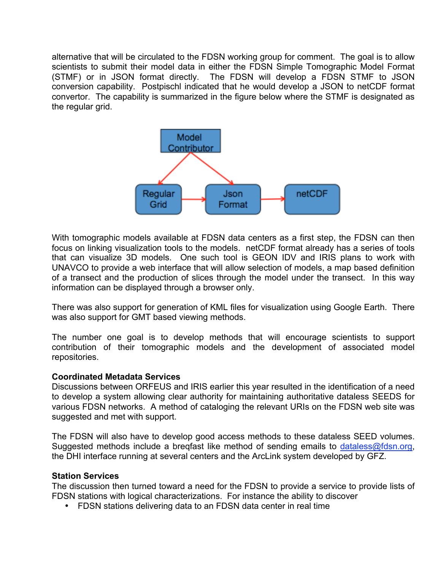alternative that will be circulated to the FDSN working group for comment. The goal is to allow scientists to submit their model data in either the FDSN Simple Tomographic Model Format (STMF) or in JSON format directly. The FDSN will develop a FDSN STMF to JSON conversion capability. Postpischl indicated that he would develop a JSON to netCDF format convertor. The capability is summarized in the figure below where the STMF is designated as the regular grid.



With tomographic models available at FDSN data centers as a first step, the FDSN can then focus on linking visualization tools to the models. netCDF format already has a series of tools that can visualize 3D models. One such tool is GEON IDV and IRIS plans to work with UNAVCO to provide a web interface that will allow selection of models, a map based definition of a transect and the production of slices through the model under the transect. In this way information can be displayed through a browser only.

There was also support for generation of KML files for visualization using Google Earth. There was also support for GMT based viewing methods.

The number one goal is to develop methods that will encourage scientists to support contribution of their tomographic models and the development of associated model repositories.

### **Coordinated Metadata Services**

Discussions between ORFEUS and IRIS earlier this year resulted in the identification of a need to develop a system allowing clear authority for maintaining authoritative dataless SEEDS for various FDSN networks. A method of cataloging the relevant URIs on the FDSN web site was suggested and met with support.

The FDSN will also have to develop good access methods to these dataless SEED volumes. Suggested methods include a breqfast like method of sending emails to dataless@fdsn.org, the DHI interface running at several centers and the ArcLink system developed by GFZ.

### **Station Services**

The discussion then turned toward a need for the FDSN to provide a service to provide lists of FDSN stations with logical characterizations. For instance the ability to discover

• FDSN stations delivering data to an FDSN data center in real time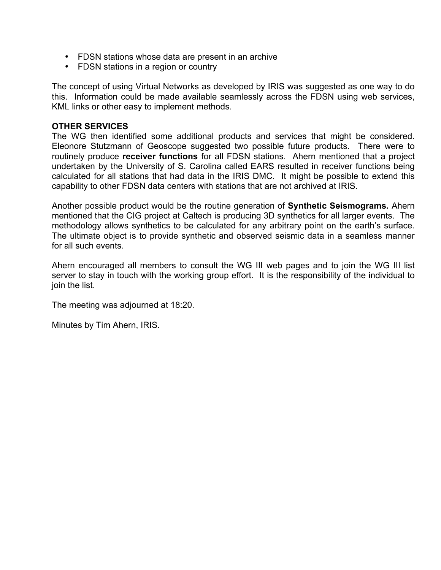- FDSN stations whose data are present in an archive
- FDSN stations in a region or country

The concept of using Virtual Networks as developed by IRIS was suggested as one way to do this. Information could be made available seamlessly across the FDSN using web services, KML links or other easy to implement methods.

#### **OTHER SERVICES**

The WG then identified some additional products and services that might be considered. Eleonore Stutzmann of Geoscope suggested two possible future products. There were to routinely produce **receiver functions** for all FDSN stations. Ahern mentioned that a project undertaken by the University of S. Carolina called EARS resulted in receiver functions being calculated for all stations that had data in the IRIS DMC. It might be possible to extend this capability to other FDSN data centers with stations that are not archived at IRIS.

Another possible product would be the routine generation of **Synthetic Seismograms.** Ahern mentioned that the CIG project at Caltech is producing 3D synthetics for all larger events. The methodology allows synthetics to be calculated for any arbitrary point on the earth's surface. The ultimate object is to provide synthetic and observed seismic data in a seamless manner for all such events.

Ahern encouraged all members to consult the WG III web pages and to join the WG III list server to stay in touch with the working group effort. It is the responsibility of the individual to join the list.

The meeting was adjourned at 18:20.

Minutes by Tim Ahern, IRIS.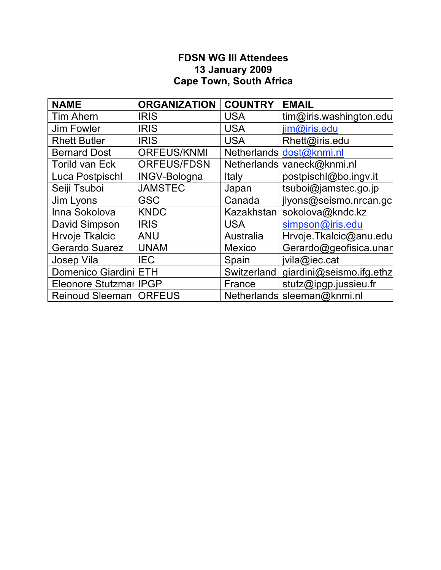## **FDSN WG III Attendees 13 January 2009 Cape Town, South Africa**

| <b>NAME</b>              | <b>ORGANIZATION</b> | <b>COUNTRY</b> | <b>EMAIL</b>                |
|--------------------------|---------------------|----------------|-----------------------------|
| <b>Tim Ahern</b>         | <b>IRIS</b>         | <b>USA</b>     | tim@iris.washington.edu     |
| <b>Jim Fowler</b>        | <b>IRIS</b>         | <b>USA</b>     | jim@iris.edu                |
| <b>Rhett Butler</b>      | <b>IRIS</b>         | <b>USA</b>     | Rhett@iris.edu              |
| <b>Bernard Dost</b>      | <b>ORFEUS/KNMI</b>  |                | Netherlands dost@knmi.nl    |
| <b>Torild van Eck</b>    | <b>ORFEUS/FDSN</b>  |                | Netherlands vaneck@knmi.nl  |
| Luca Postpischl          | <b>INGV-Bologna</b> | Italy          | postpischl@bo.ingv.it       |
| Seiji Tsuboi             | <b>JAMSTEC</b>      | Japan          | tsuboi@jamstec.go.jp        |
| Jim Lyons                | <b>GSC</b>          | Canada         | jlyons@seismo.nrcan.gc      |
| Inna Sokolova            | <b>KNDC</b>         | Kazakhstan     | sokolova@kndc.kz            |
| David Simpson            | <b>IRIS</b>         | <b>USA</b>     | simpson@iris.edu            |
| <b>Hrvoje Tkalcic</b>    | <b>ANU</b>          | Australia      | Hrvoje.Tkalcic@anu.edu      |
| <b>Gerardo Suarez</b>    | <b>UNAM</b>         | <b>Mexico</b>  | Gerardo@geofisica.unar      |
| Josep Vila               | <b>IEC</b>          | Spain          | jvila@iec.cat               |
| Domenico Giardini ETH    |                     | Switzerland    | giardini@seismo.ifg.ethz    |
| Eleonore Stutzmar IPGP   |                     | France         | stutz@ipgp.jussieu.fr       |
| Reinoud Sleeman   ORFEUS |                     |                | Netherlands sleeman@knmi.nl |